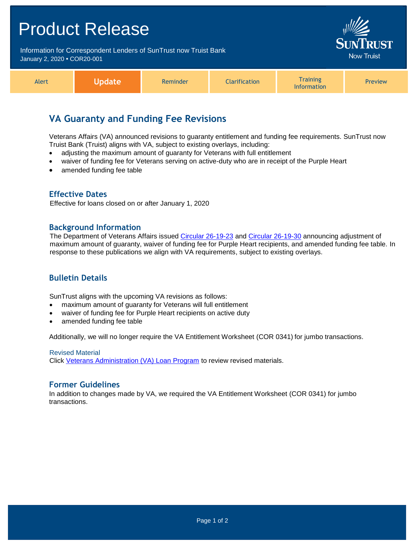## Product Release Information for Correspondent Lenders of SunTrust now Truist Bank Now Truist January 2, 2020 **•** COR20-001 **Training** Alert **Update** Reminder **Clarification** Preview Information

# **VA Guaranty and Funding Fee Revisions**

Veterans Affairs (VA) announced revisions to guaranty entitlement and funding fee requirements. SunTrust now Truist Bank (Truist) aligns with VA, subject to existing overlays, including:

- adjusting the maximum amount of guaranty for Veterans with full entitlement
- waiver of funding fee for Veterans serving on active-duty who are in receipt of the Purple Heart
- amended funding fee table

### **Effective Dates**

Effective for loans closed on or after January 1, 2020

#### **Background Information**

The Department of Veterans Affairs issued [Circular 26-19-23](https://www.benefits.va.gov/homeloans/documents/circulars/26_19_23.pdf) and [Circular 26-19-30](https://www.benefits.va.gov/HOMELOANS/documents/circulars/26_19_30.pdf) announcing adjustment of maximum amount of guaranty, waiver of funding fee for Purple Heart recipients, and amended funding fee table. In response to these publications we align with VA requirements, subject to existing overlays.

## **Bulletin Details**

SunTrust aligns with the upcoming VA revisions as follows:

- maximum amount of guaranty for Veterans will full entitlement
- waiver of funding fee for Purple Heart recipients on active duty
- amended funding fee table

Additionally, we will no longer require the VA Entitlement Worksheet (COR 0341) for jumbo transactions.

Revised Material Click [Veterans Administration \(VA\) Loan Program](https://www.truistsellerguide.com/manual/cor/products/cVA.pdf) to review revised materials.

#### **Former Guidelines**

In addition to changes made by VA, we required the VA Entitlement Worksheet (COR 0341) for jumbo transactions.